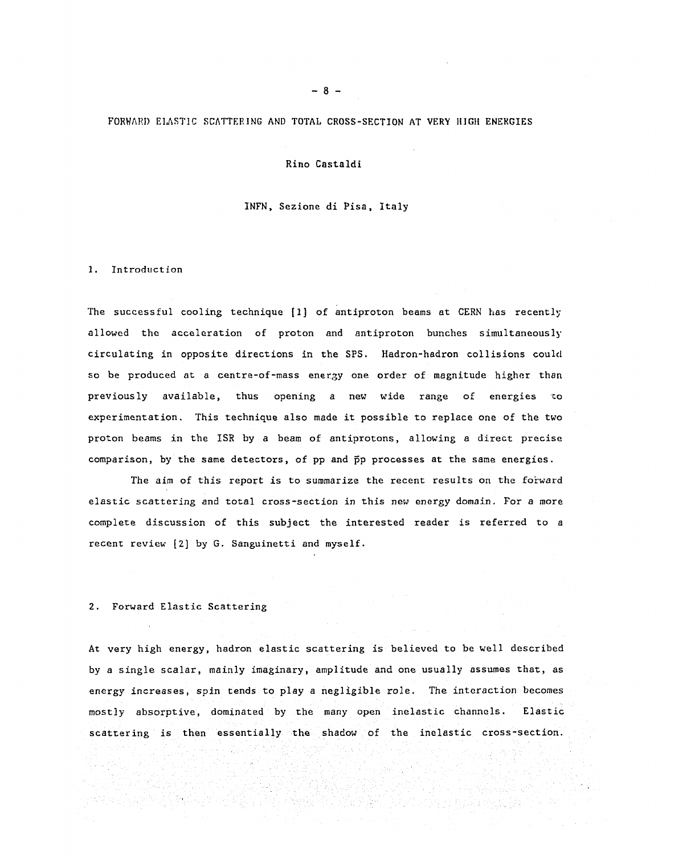#### FORWARD ELASTIC SCATTERING AND TOTAL CROSS-SECTION AT VERY HIGH ENERGIES

### Rino Castaldi Rino Castaldi

### INFN, Sezione di Pisa, Italy INFN. Sezione di Pisa. Italy

### 1. Introduction 1. Introduction

The successful cooling technique  $[1]$  of antiproton beams at CERN has recently allowed the acceleration of proton and antiproton bunches simultaneously circulating in opposite directions in the SPS. Hadron-hadron collisions could circulating in opposite directions in the SPS. Hadron-hadron col1isions could so be produced at a centre-of-mass energy one order of magnitude higher than previously available, thus opening a new wide range of energies *to*  previous1y available. thus opening a new wide range of energies 'Co experimentation. This technique also made it possible to replace one of the two experimentation. This technique a1so made it possib1e to rep1ace one of the two proton beams in the ISR by a beam of antiprotons, allowing a direct precise proton beams in the ISR by a beam of antiprotons, allowing a direct precise comparison, by the same detectors, of pp and pp processes at the same energies. comparison, by the 5ame detectors, of pp and pp processes at the same energies.

The aim of this report is to summarize the recent results on the forward elastic scattering and total cross-section in this new energy domain. For a more complete discussion of this subject the interested reader is referred to a<br>recent review [2] by G. Sanguinetti and myself. recent review [2] by G. Sanguinetti and myself.

## 2. Forward Elastic Scattering 2. Forward E1astic Scattering

At very high energy, hadron elastic scattering is believed to be well described At very high energy, hadron elastic scattering is believed to be well described by a single scalar, mainly imaginary, amplitude and one usually assumes that, as by a single scalar, mainly imaginary, amplitude and one usually assumes that, as energy increases, spin tends to play a negligible role. The interaction becomes energy increases, spin tends to play a neg1igible role. The intcraction becomes mostly absorptive, dominated by the many open inelastic channels. Elastic most]y absorptive, dominated by the many open inelastic channels. Elastic scattering is then essentially the shadow of the inelastic cross-section. scattering is then essentia11y the shadow of the ine1astic cross-section.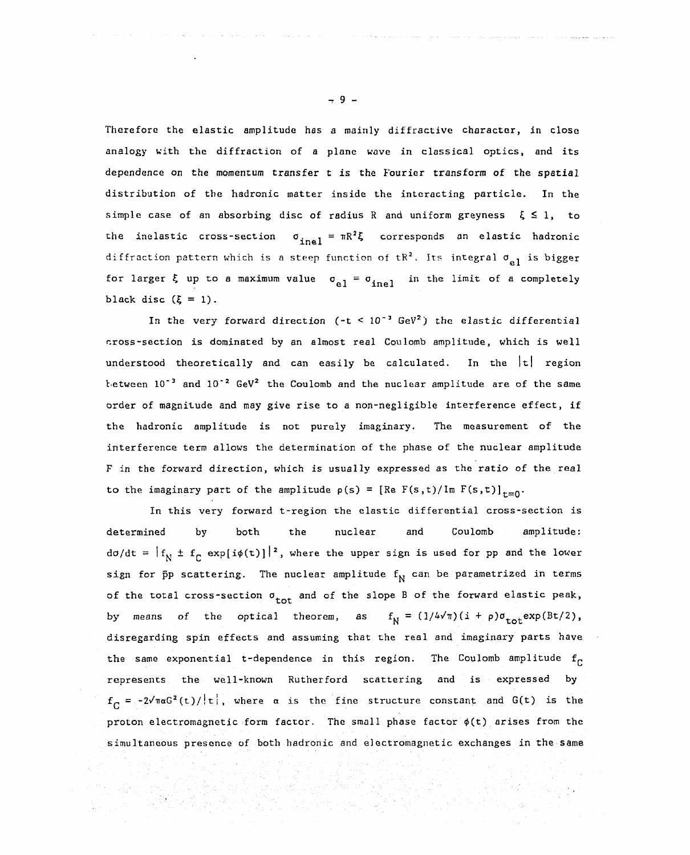Therefore the elastic amplitude has a mainly diffractive character, in close Thereforc the elastic amplitude has a mainly diffractive character, in close analogy with the diffraction of a plane wave in classical optics, and its dependence on the momentum transfer t is the Fourier transform of the spatial dependence on the momentum transfer t is the Fouricr transform of the spatial distribution of the hadronic matter inside the interacting particle. In the distribution of the hadronic matter inside the intcracting particle. 1n the simple case of an absorbing disc of radius R and uniform greyness  $\xi \leq 1$ , to the inelastic cross-section  $\sigma_{\rm inel} = \pi R^2 \xi$  corresponds an elastic hadronic diffraction pattern which is a steep function of tR<sup>2</sup>. Its integral  $\sigma_{1,1}$  is bigger for larger  $\xi$  up to a maximum value  $\sigma_{\text{e}1} = \sigma_{\text{inel}}$  in the limit of a completely black disc  $(\xi = 1)$ . - -n e <sup>4</sup>  $\sigma_{el} = \sigma_{inel}$  in the limit of a completely

In the very forward direction ( $-t < 10^{-3}$  GeV<sup>2</sup>) the elastic differential cross-section is dominated by an almost real Coulomb amplitude, which is well understood theoretically and can easily be calculated. In the  $|\tt t|$  region tetween  $10^{-3}$  and  $10^{-2}$  GeV<sup>2</sup> the Coulomb and the nuclear amplitude are of the same order of magnitude and may give rise to a non-negligible interference effect, if the hadronic amplitude is not purely imaginary. The measurement of the the hadronic amp1itude is not purely imaginary. The measurement of the interference term allows the determination of the phase of the nuclear amplitude interference term al10ws the determination of the phase of the nuclear amplitude F in the forward direction, which is usually expressed as the ratio of the real to the imaginary part of the amplitude  $p(s) = [Re F(s,t)/Im F(s,t)]_{t=0}$ .

In this very forward t-region the elastic differential cross-section is 1n this very forward t-region the e1astic differential cross-section is determined by both the nuclear and Coulomb amplitude: determined by both the nuclear and Coulomb amplitude: do/dt =  $|f_{\text{N}} \pm f_{\text{C}}|$  exp[i $\phi$ (t)] $|^2$ , where the upper sign is used for pp and the lower sign for  $\bar{\text{p}}$ p scattering. The nuclear amplitude  $\text{f}_\text{N}$  can be parametrized in terms of the total cross-section  $\sigma^+_{\rm tot}$  and of the slope B of the forward elastic peak, by means of the optical theorem, as disregarding spin effects and assuming that the real and imaginary parts have disregarding spin effects and assuming that the real and imaginary parts have the same exponential t-dependence in this region. The Coulomb amplitude  $f_{\text{C}}$ represents the well-known Rutherford scattering and is expressed by  $f_{\alpha} = -2\sqrt{\pi \alpha G^2(t) / |t|}$ , where  $\alpha$  is the fine structure constant and  $G(t)$  is the proton electromagnetic form factor. The small phase factor  $\phi(t)$  arises from the simultaneous presence of both hadronic and electromagnetic exchanges in the same  $f_N = (1/4\sqrt{\pi})(i+\rho)\sigma_{\text{tot}} \exp(\beta t/2),$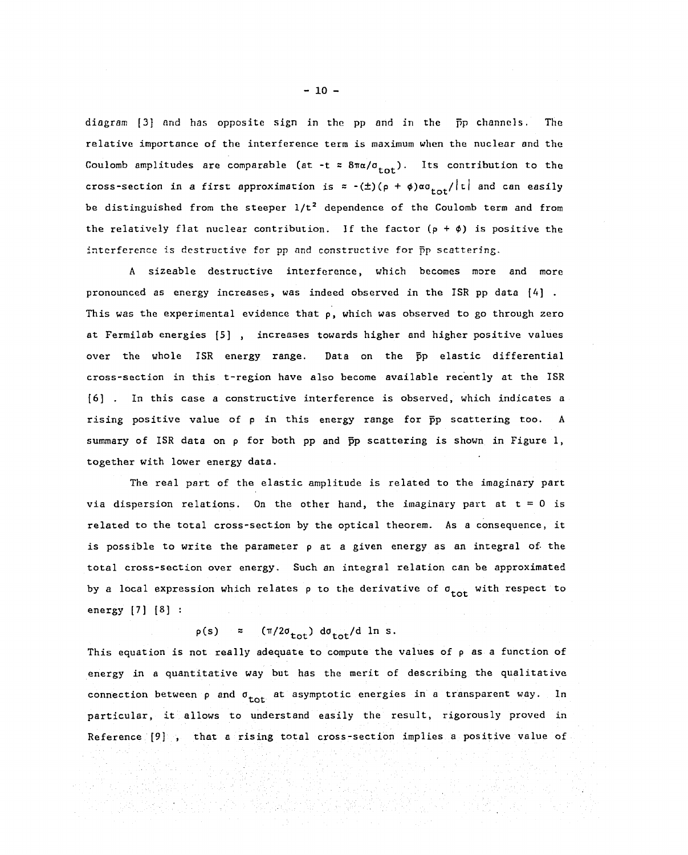diagram [3] and has opposite sign in the pp and in the pp channels. The relative importance of the interference term is maximum when the nuclear and the Coulomb amplitudes are comparable (at -t  $\approx 8\pi\alpha/\sigma_{\text{tot}}$ ). Its contribution to the cross-section in a first approximation is  $\approx$  -( $\pm$ )(p +  $\phi$ ) $\alpha \sigma_{\text{tot}}/|\text{t}|$  and can easily be distinguished from the steeper  $1/t^2$  dependence of the Coulomb term and from the relatively flat nuclear contribution. If the factor (p +  $\phi$ ) is positive the interference is destructive for pp and constructive for pp scattering. intcrfercncc is dcstructive for pp 8nd constructive for pp scattering.

A sizeable destructive interference, which becomes more and more A sizeable destructive interfcrence, which becomes more and more pronounced as energy increases, was indeed observed in the ISR pp data [4] . pronounced as energy increases, was indeed observed in the ISR pp data [4] This was the experimental evidence that p, which was observed to go through zero This was the experimenta1 evidence that p, which was observed to go through zero at Fermilab energies [5] , increases towards higher and higher positive values at Fermi1ab energies [5] , increases towards higher and higher positive va1ues over the whole ISR energy range. Data on the pp elastic differential over the whole ISR energy range. Data on the pp elastic differential cross-section in this t-region have also become available recently at the ISR [6] . In this case a constructive interference is observed, which indicates a rising positive value of p in this energy range for  $\bar{p}p$  scattering too. A summary of ISR data on  $\rho$  for both pp and pp scattering is shown in Figure 1, together with lower energy data. together with lower energy data.

The real part of the elastic amplitude is related to the imaginary part via dispersion relations. On the other hand, the imaginary part at  $t = 0$  is related to the total cross-section by the optical theorem. As a consequence, it is possible to write the parameter p at a given energy as an integral of the total cross-section over energy. Such an integral relation can be approximated total cross-section over energy. Such an integral re1ation can be approximated by a local expression which relates  $\rho$  to the derivative of  $\sigma_{\text{tot}}$  with respect to energy [7] [8] : energy [7] [8]

 $p(s)$  = (π/2σ<sub>tot</sub>) dσ<sub>tot</sub>/d ln s.

This equation is not really adequate to compute the values of p as a function of energy in a quantitative way but has the merit of describing the qualitative energy in a quantitative way but has the merit of describing the qualitative connection between p and  $\sigma_{\text{tot}}$  at asymptotic energies in a transparent way. In particular, it allows to understand easily the result, rigorously proved in Reference  $[9]$  , that a rising total cross-section implies a positive value of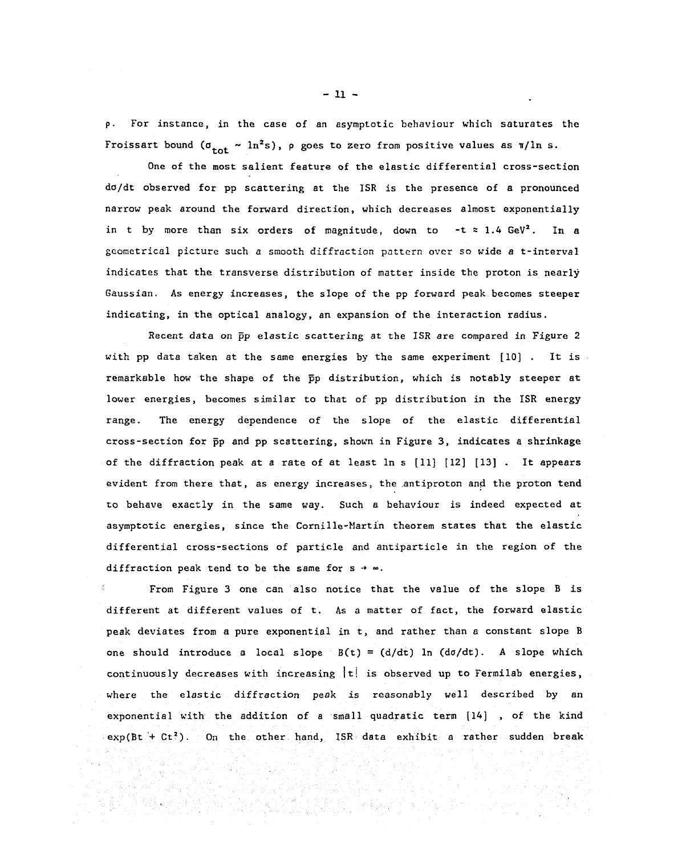p. For instance, in the case of an asymptotic behaviour which saturates the p. For instanca, in thc casc of an 8symptotic behaviour which saturates the Froissart bound ( $\sigma_{\text{tot}} \sim \ln^2 s$ ), p goes to zero from positive values as  $\pi/\ln s$ .

One of the most salient feature of the elastic differential cross-section One of the most salient feature of the elastic differential cross-section do/dt observed for pp scattering at the ISR is the presence of a pronounced narrow peak around the forward direction, which decreases almost exponentially narrow peak around the forward direction, which decreases almost exponential1y in t by more than six orders of magnitude, down to  $-t \approx 1.4$  GeV<sup>2</sup>. In a geometrical picture such a smooth diffraction pattern over so wide a t-interval gcomctrical picturc such a smooth diffraction pnttcrn ovcr 50 wide a t-interval indicates that the transverse distribution of matter inside the proton is nearly Gaussian. As energy increases, the slope of the pp forward peak becomes steeper Gaussian. As energy increases, the slope of the pp forward peak becomes steeper indicating, in the optical analogy, an expansion of the interaction radius. indicating, in the optical analogy, an expansion of the interaction radius.

Recent data on pp elastic scattering at the ISR are compared in Figure 2 Recent data on pp e1astic scattering at the lSR are compared in Figure 2 with pp data taken at the same energies by the same experiment [10] . It is with pp data taken at the S8me energies by the same experiment [10). It is remarkable how the shape of the  $\bar{p}p$  distribution, which is notably steeper at lower energies, becomes similar to that of pp distribution in the ISR energy lower energies, becomes similar to that of pp distribution in the ISR energy range. The energy dependence of the slope of the elastic differential cross-section for pp and pp scattering, shown in Figure 3, indicates a shrinkage of the diffraction peak at a rate of at least In s [11] [12] [13] . It appears of the diffraction peak at a rate of at 1east 1n s [11) [12] [13]. It appears evident from there that, as energy increases, the antiproton and the proton tend to behave exactly in the same way. Such a behaviour is indeed expected at asymptotic energies, since the Cornille-Martin theorem states that the elastic asymptotic energies, since the Cornille-Martin theorem states that the elastic differential cross-sections of particle and antiparticle in the region of the differential cross 5ections of particle and antiparticle in the region of the diffraction peak tend to be the same for s →  $\infty$ .

From Figure 3 one can also notice that the value of the slope B is From Figure 3 one can a150 notice that the value of the slope B is different at different values of t. As a matter of fact, the forward elastic different at different values of t. As a matter of fact, the forward elastic peak deviates from a pure exponential in t, and rather than a constant slope B peak deviates from a pure exponential in t, and rather than a constant slope B one should introduce a local slope B(t) = (d/dt) In (do/dt). A slope which one should introduce a local slope B(t) = (djdt) ln (dσ/dt). A slope which continuously decreases with increasing |t! is observed up to Fermilab energies, where the elastic diffraction peak is reasonably well described by an where the elastic diffraction peak is reasonably wel1 described by an exponential with the addition of a small quadratic term [14] , of the kind  $exp(Bt + Ct^2)$ . On the other hand, ISR data exhibit a rather sudden break

**- 11 -** - 11 -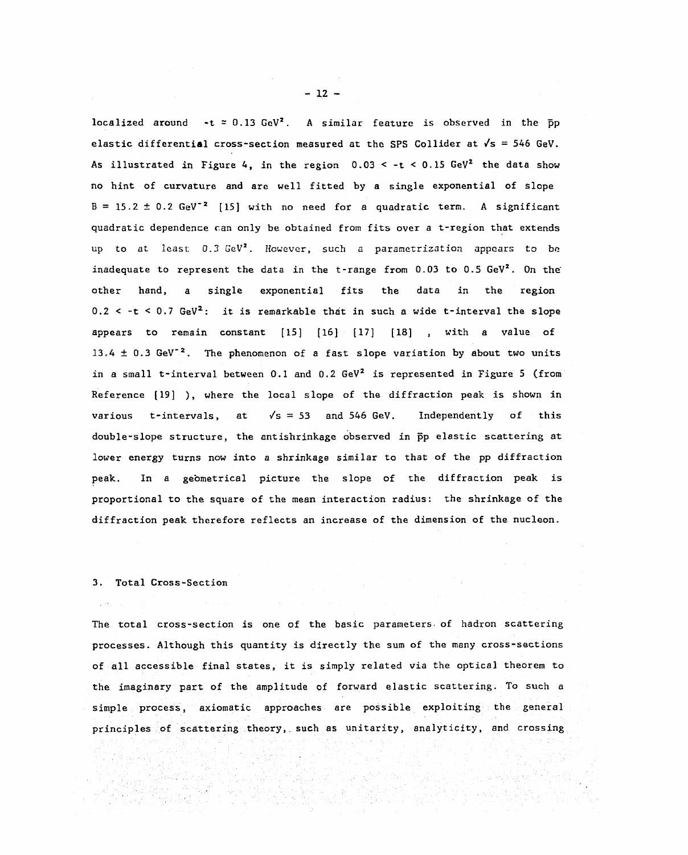localized around  $-t$  = 0.13 GeV<sup>2</sup>. A similar feature is observed in the  $\bar{p}p$ elastic differential cross-section measured at the SPS Collider at  $\sqrt{s}$  = 546 GeV. As illustrated in Figure 4, in the region  $0.03 < -t < 0.15$  GeV<sup>2</sup> the data show no hint of curvature and are well fitted by a single exponential of slope no hint of curvature and are well fitted by a single exponential of slope  $B = 15.2 \pm 0.2$  GeV<sup>-2</sup> [15] with no need for a quadratic term. A significant quadratic dependence can only be obtained from fits over a t-region that extends up to at least 0.3 GeV<sup>2</sup>. However, such a parametrization appears to be inadequate to represent the data in the t-range from 0.03 to 0.5 GeV<sup>2</sup>. On the other hand, a single exponential fits the data in the region other hand, a sing1e exponential fits the data in the region 0.2  $\le$  -t  $\le$  0.7 GeV<sup>2</sup>: it is remarkable that in such a wide t-interval the slope appears to remain constant  $[15]$   $[16]$   $[17]$   $[18]$  , with a value of 13.4  $\pm$  0.3 GeV<sup>-2</sup>. The phenomenon of a fast slope variation by about two units in a small t-interval between 0.1 and 0.2 GeV<sup>2</sup> is represented in Figure 5 (from Reference [19] ), where the local slope of the diffraction peak is shown in Reference [19] ), where the local slope of the diffraction peak is shown in various t-intervals, at  $\sqrt{s} = 53$  and 546 GeV. Independently of this double-slope structure, the antishrinkage observed in pp elastic scattering at lower energy turns now into a shrinkage similar to that of the pp diffraction lower energy turns now into a shrinkage similar to that of the pp diffraction peak. In a geometrical picture the slope of the diffraction peak is proportional to the square of the mean interaction radius: the shrinkage of the diffraction peak therefore reflects an increase of the dimension of the nucleon. diffraction peak therefore reflects an increase of the dimension of the nucleon.

#### 3. Total Cross-Section 3. Total Cross-Section

The total cross-section is one of the basic parameters of hadron scattering The total cross section is one of the basic parameters. of hadron scattering processes. Although this quantity is directly the sum of the many cross-sections processes. Although this quantity is directly the sum of the many cross-sections of all accessible final states, it is simply related via the optical theorem to the imaginary part of the amplitude of forward elastic scattering. To such a the imaginary part of the amplitude of forward elastic scattering. To such a simple process, axiomatic approaches are possible exploiting the general simp1e process, axiomatic approaches are possib1e exploiting the general principles of scattering theory, such as unitarity, analyticity, and crossing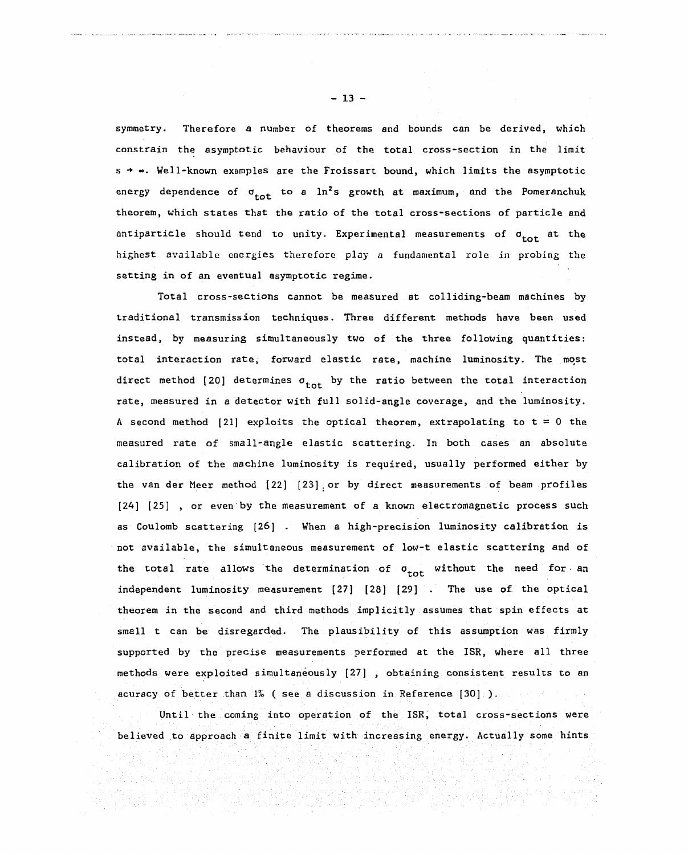symmetry. Therefore a number of theorems and bounds can be derived, which symmetry. Therefore a nUmber of theorems and bounds can be derived, which constrain the asymptotic behaviour of the total cross-section in the limit constrain the asymptotic behaviour of the total cross-section in the limit s +  $\bullet$ . Well-known examples are the Froissart bound, which limits the asymptotic energy dependence of  $\sigma_{\text{tot}}$  to a  $\ln^2$ s growth at maximum, and the Pomeranchuk theorem, which states that the ratio of the total cross-sections of particle and antiparticle should tend to unity. Experimental measurements of  $\sigma_{\text{tot}}$  at the highest available energies therefore play a fundamental role in probing the setting in of an eventual asymptotic regime. setting in of an eventual asymptotic regime.

Total cross-sections cannot be measured at colliding-beam machines by Total cross sections cannot be measured at colliding-beam machines by traditional transmission techniques. Three different methods have been used traditiona1 transmission tcchniques. Three different methods have been used instead, by measuring simultaneously two of the three following quantities: total interaction rate, forward elastic rate, machine luminosity. The most direct method [20] determines  $\sigma_{\text{tot}}$  by the ratio between the total interaction rate, measured in a detector with full solid-angle coverage, and the luminosity. rate, measured in a detector with fu11 solid-angle coverage, and the luminosity. A second method [21] exploits the optical theorem, extrapolating to  $t = 0$  the  $\overline{\phantom{x}}$ measured rate of small-angle elastic scattering. In both cases an absolute measured rate of smal1-angle elastic scattering. 1n both cases an absolute calibration of the machine luminosity is required, usually performed either by calibration of the machine luminosity is required, usually performed either by the van der Meer method [22] [23] . or by direct measurements of beam profiles the van der Meer method [22] [23]. or by direct measurements of beam profiles [24] [25] , or even by the measurement of a known electromagnetic process such as Coulomb scattering [26] . When a high-precision luminosity calibration is not available, the simultaneous measurement of low-t elastic scattering and of not available, the simultaneous measurement of low-t elastic scattering and of the total rate allows the determination of  $\sigma^{\phantom{\dagger}}_{\small{\small{tot}}}$  without the need for, an independent luminosity measurement [27] [28] [29] . The use of the optical theorem in the second and third methods implicitly assumes that spin effects at small t can be disregarded. The plausibility of this assumption was firmly supported by the precise measurements performed at the ISR, where all three methods were exploited simultaneously [27] , obtaining consistent results to an acuracy of better than 1% ( see a discussion in Reference [30] ).

Until the coming into operation of the ISR, total cross-sections were believed to approach a finite limit with increasing energy. Actually some hints

believed to approach a finite limit with increasing energy. Actually some hints of the some hints of the some

 $-13 -$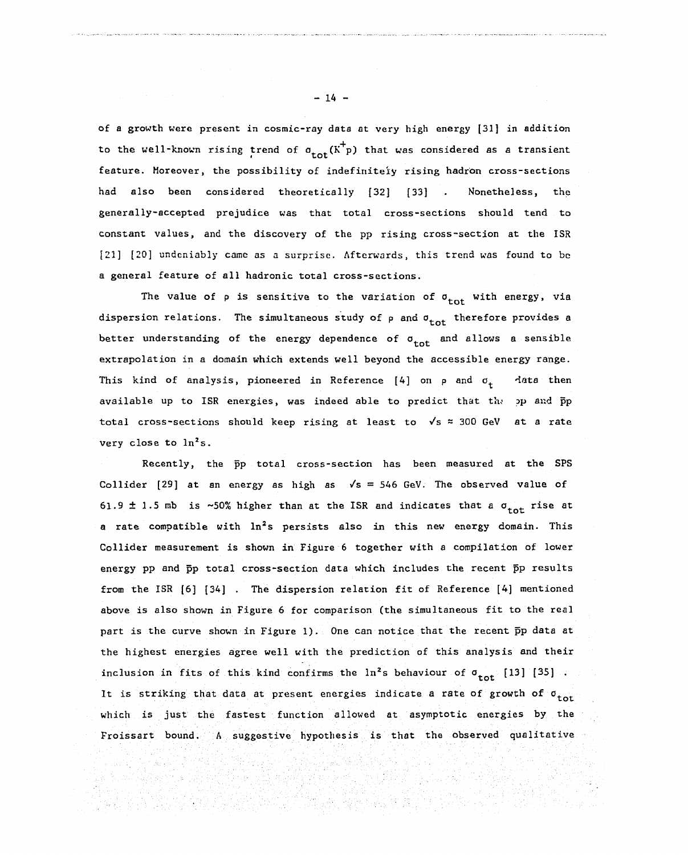of a growth were present in cosmic-ray data at very high energy [31] in addition of a growth were present in cosmic-ray data at very high energy [31] in addition to the well-known rising trend of  $\sigma_{\text{tot}}(K^+ p)$  that was considered as a transient feature. Moreover, the possibility of indefiniteiy rising hadron cross-sections had also been considered theoretically [32] [33] . Nonetheless, the generally-accepted prejudice was that total cross-sections should tend to constant values, and the discovery of the pp rising cross-section at the ISR [21] [20] undeniably came as a surprise. Afterwards, this trend was found to be a general feature of all hadronic total cross-sections. a genera1 feature of a11 hadronic tota1 cross sections.

The value of  $\rho$  is sensitive to the variation of  $\sigma_{\tt tot}$  with energy, via dispersion relations. The simultaneous study of  $\rho$  and  $\sigma_{\texttt{tot}}$  therefore provides a better understanding of the energy dependence of  $\sigma_{\text{tot}}$  and allows a sensible extrapolation in a domain which extends well beyond the accessible energy range. extrapo1ation in a domain which extends we11 beyond the accessible energy range. This kind of analysis, pioneered in Reference [4] on p and  $\sigma_{\mathbf{t}}$  - data then available up to ISR energies, was indeed able to predict that the pp and pp total cross-sections should keep rising at least to  $\sqrt{s}$  = 300 GeV at a rate very close to  $\ln^2 s$ .

Recently, the pp total cross-section has been measured at the SPS Collider [29] at an energy as high as  $\sqrt{s}$  = 546 GeV. The observed value of 61.9  $\pm$  1.5 mb is ~50% higher than at the ISR and indicates that a  $\sigma_{\text{tot}}$  rise at a rate compatible with  $\ln^2$ s persists also in this new energy domain. This Collider measurement is shown in Figure 6 together with a compilation of lower Collider measurement is shown in Figure 6 together with a compi1ation of 10wer energy pp and pp total cross-section data which includes the recent pp results energy pp and pp tota1 cross-section data which inc1udes the recent pp results from the ISR [6] [34] . The dispersion relation fit of Reference [4] mentioned from the ISR [6] [34] . The dispersion re1ation fit of Reference [4] mentioned above is also shown in Figure 6 for comparison (the simultaneous fit to the real above is a1so shown in Figure 6 for comparison (the simultaneous fit to the real part is the curve shown in Figure 1). One can notice that the recent  $\bar{p}p$  data at the highest energies agree well with the prediction of this analysis and their the highest energies agree well with the prediction of this analysis and their inclusion in fits of this kind confirms the  $\ln^2$ s behaviour of  $\sigma_{\text{tot}}$  [13] [35] . It is striking that data at present energies indicate a rate of growth of σ<sub>tor</sub> which is just the fastest function allowed at asymptotic energies by the which is just the fastest function allowed at asymptotic energies by the Froissart bound. A suggestive hypothesis is that the observed qualitative

- 14 - -14 -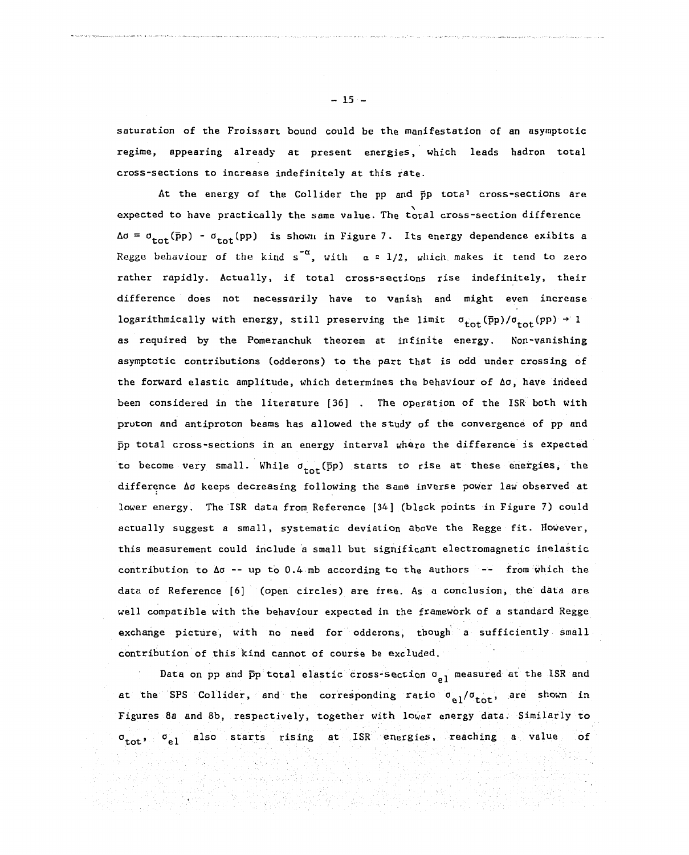saturation of the Froissart bound could be the manifestation of an asymptotic regime, appearing already at present energies, which leads hadron total cross-sections to increase indefinitely at this rate.

At the energy of the Collider the pp and pp tota' cross-sections are expected to have practically the same value. The total cross-section difference expected to have practical1y the same value. The total cross-section difference  $\Delta \sigma = \sigma_{\text{tot}}(\bar{p}p) - \sigma_{\text{tot}}(pp)$  is shown in Figure 7. Its energy dependence exibits a Regge behaviour of the kind s<sup>od</sup>, with  $\alpha$  = 1/2, which makes it tend to zero rather rapidly. Actually, if total cross-sections rise indefinitely, their difference does not necessarily have to vanish and might even increase logarithmically with energy, still preserving the limit  $\sigma_{\text{tot}}(\bar{p}p)/\sigma_{\text{tot}}(pp) \rightarrow 1$ as required by the Pomeranchuk theorem at infinite energy. Non-vanishing as required by the Pomeranchuk theorem at infinite energy. Non-vanishing asymptotic contributions (odderons) to the part that is odd under crossing of asymptotic contributions (odderons) to the part that is odd under crossing of the forward elastic amplitude, which determines the behaviour of  $\Delta\sigma$ , have indeed been considered in the literature [36] . The operation of the ISR both with proton and antiproton beams has allowed the study of the convergence of pp and prυton and antiproton beams has allowed the study of the convergence of PP and pp total cross-sections in an energy interval where the difference is expected pp total cross sections in an energy interval where the difference is expected to become very small. While  $\sigma_{tot}$ (pp) starts to rise at these energies, the difference Ao keeps decreasing following the same inverse power law observed at lower energy. The ISR data from Reference [34] (black points in Figure 7) could actually suggest a small, systematic deviation above the Regge fit. However, actual1y suggest a small, systematic deviation above the Regge fit. However, this measurement could include a small but significant electromagnetic inelastic contribution to  $\Delta \sigma$  -- up to 0.4 mb according to the authors  $-$ - from which the data of Reference [6] (open circles) are free. As a conclusion, the data are data of Reference [6] (open circles) are free. As a conclusion, the data are well compatible with the behaviour expected in the framework of a standard Regge exchange picture, with no need for odderons, though a sufficiently small contribution of this kind cannot of course be excluded.

Data on pp and  $\bar{p}p$  total elastic cross-section o<sub>pi</sub> measured at the ISR and at the SPS Collider, and the corresponding ratio  $\sigma_{\alpha 1}/\sigma_{\text{tot}}$ , are shown in Figures 8a and 8b, respectively, together with lower energy data. Similarly to  $\sigma_{\text{tot}}$ ,  $\sigma_{\text{a1}}$  also starts rising at ISR energies, reaching a value of

사는 경찰 도시<br>발대관 300명

999 J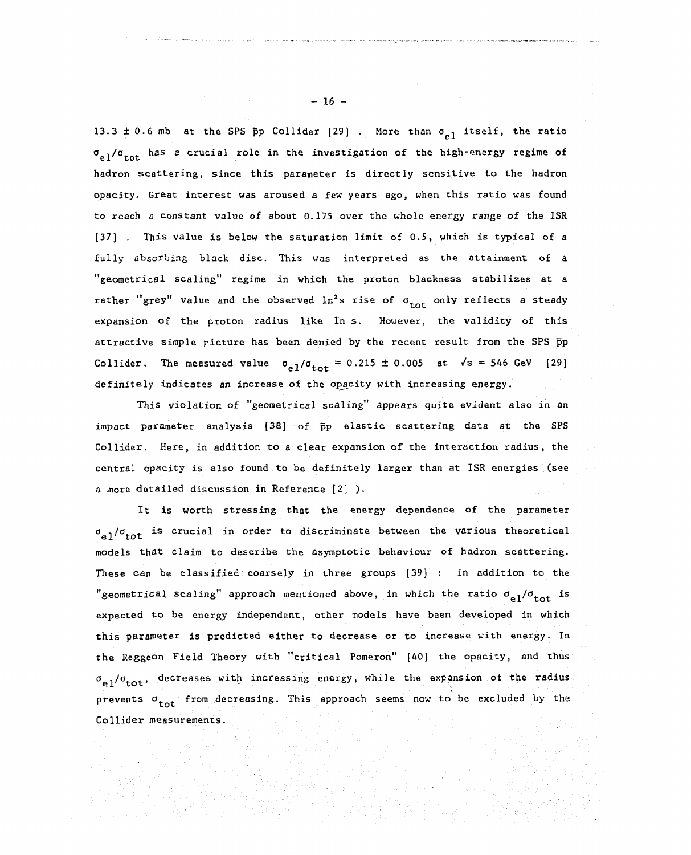13.3  $\pm$  0.6 mb at the SPS pp Collider [29] . More than  $\sigma_{a1}$  itself, the ratio σ<sub>οl</sub>/σ<sub>tot</sub> has a crucial role in the investigation of the high-energy regime of hadron scattering, since this parameter is directly sensitive to the hadron opacity. Great interest was aroused a few years ago, when this ratio was found opacity. Great interest was aroused a few years ago, when this ratio was found to reach a constant value of about 0.175 over the whole energy range of the ISR to reach e constant value of about 0.175 over the whole energy range of the ISR [37] . This value is below the saturation limit of 0.5, which is typical of a [37J . This value 1S below the saturation limit of 0.5, which i5 typica1 of a fully absorbing black disc. This was interpreted as the attainment of a "geometrical scaling" regime in which the proton blackness stabilizes at a "geometrical scaling" regime in which the proton blackness stabilizes at a rather "grey" value and the observed ln<sup>2</sup>s rise of  $\sigma$ <sub>tot</sub> only reflects a steady expansion of the proton radius like In s. However, the validity of this attractive simple picture has been denied by the recent result from the SPS pp attractive simple ricture has heen denied by the recent result from the SPS pp Collider. The measured value  $\sigma_{a}$ <sub>1</sub>/ $\sigma_{\text{tot}}$  = 0.215 ± 0.005 at  $\sqrt{s}$  = 546 GeV [29] definitely indicates an increase of the opacity with increasing energy.

definitely indicates an increase of the opacity with increasing energy. This violation of "geometrical scaling" appears quite evident also in an Collider. Here, in addition to a clear expansion of the interaction radius, the Collider. Here, in addition to a clear expansion of the interaction radius, the central opacity is also found to be definitely larger than at ISR energies (see This violation of "geometrical scaling" appears quite evident a1so in an impact parameter analysis (38) of pp elastic scattering data at the SPS central opacity is also found to be definitely larger than at ISR energies (see a more detailed discussion in Reference [2] ).

It is worth stressing that the energy dependence of the parameter  $\sigma_{\rm e1}/\sigma_{\rm tot}$  is crucial in order to discriminate between the various theoretical models that claim to describe the asymptotic behaviour of hadron scattering. mode1s that c1aim to describe the asymptotic behaviour of hadron scattering. These can be classified coarsely in three groups [39] : in addition to the These can he classified coarsely in three groups [39] in addition to the "geometrical scaling" approach mentioned above, in which the ratio  $\sigma_{\bf e1}/\sigma_{\bf tot}$  is expected to be energy independent, other models have been developed in which this parameter is predicted either to decrease or to increase with energy. In this parameter i5 predicted either to decrease or to increase with energy. 1n the Reggeon Field Theory with "critical Pomeron" [40] the opacity, and thus  $\sigma_{_{\bf P}1}/\sigma_{_{\bf tot}},$  decreases with increasing energy, while the expansion of the radius prevents  $\sigma$ <sub>tot</sub> from decreasing. This approach seems now to be excluded by the Collider measurements. Gollider measurements. It is worth stressing that the energy dependence of the parameter

- 16 - - 16 -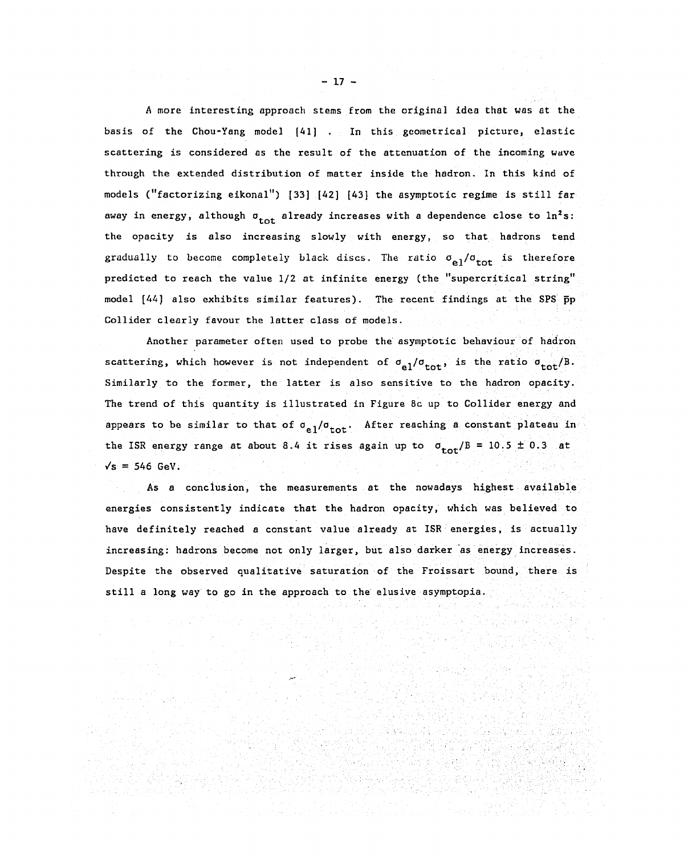A more interesting approach stems from the original idea that was at the A more interesting approach stems from the original idea that was at the basis of the Chou-Yang model [41] . In this geometrical picture, elastic **in the set of the community** scattering is considered as the result of the attenuation of the incoming wave scattering is considered as the resu1t of the attenuation of the incoming wuve through the extended distribution of matter inside the hadron. In this kind of models ("factorizing eikonal") [33] [42] [43] the asymptotic regime is still fare away in energy, although  $\sigma_{\texttt{tot}}$  already increases with a dependence close to  $\ln^2$ s: the opacity is also increasing slowly with energy, so that hadrons tend gradually to become completely black discs. The ratio  $\sigma_{\alpha 1}/\sigma_{\text{tot}}$  is therefore predicted to reach the value 1/2 at infinite energy (the "supercritical string" predicted to reach the value 1/2 at infinite energy (the "supercritica1 string" model [44] also exhibits similar features). The recent findings at the SPS  $\bar{p}p$ Collider clearly favour the latter class of models. Co11ider c1ear1y favour the 1atter c1a5s of mode1s.

Another parameter often used to probe the asymptotic behaviour of hadron scattering, which however is not independent of  $\sigma_{e1}/\sigma_{\text{tot}}$ , is the ratio  $\sigma_{\text{tot}}/B$ . Similarly to the former, the latter is also sensitive to the hadron opacity. Simi1ar1y to the former, the 1atter is a1so sensitive to the hadron opacity. The trend of this quantity is illustrated in Figure 8c up to Collider energy and The trend of this quantity is illustrated in Figure 8c up to Col1ider energy and appears to be similar to that of  $\sigma_{a}$ ,  $/\sigma_{\text{tot}}$ . After reaching a constant plateau in the ISR energy range at about 8.4 it rises again up to  $\sigma_{\text{tot}}/B = 10.5 \pm 0.3$  at  $\sqrt{s}$  = 546 GeV.

As a conclusion, the measurements at the nowadays highest available As a conc1usion, the measurements at the nowadays highest. avai1able energies consistently indicate that the hadron opacity, which was believed to have definitely reached a constant value already at ISR energies, is actually have definite1y reached a constant va1ue a1ready at ISR energies, is actually increasing: hadrons become not only larger, but also darker as energy increases. Despite the observed qualitative saturation of the Froissart bound, there is Despite the observed qualitative saturation of the Froissart bound, there is still a long way to go in the approach to the elusive asymptopia.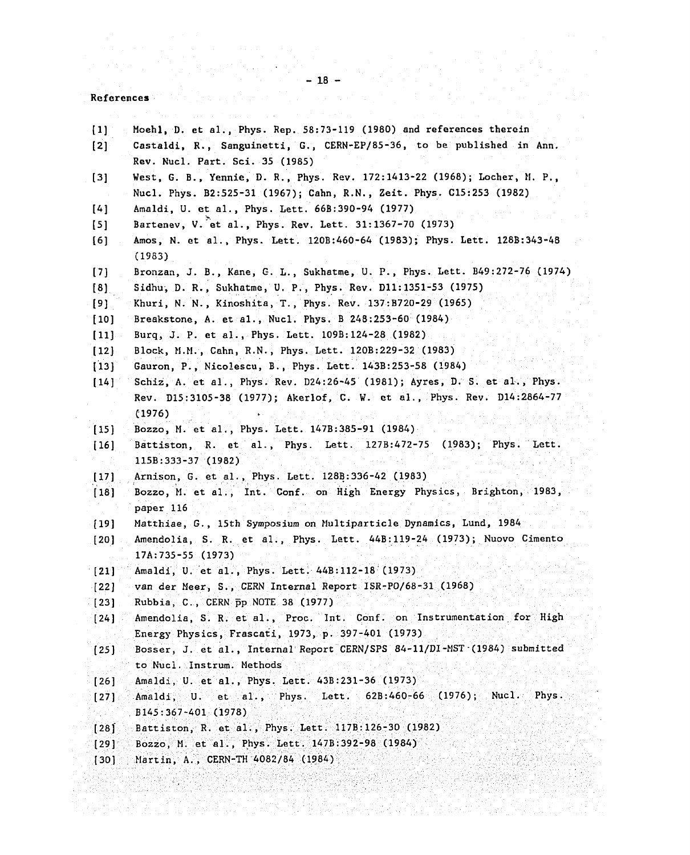$-18 -$ 

# $\mathcal{O}(\frac{1}{2})$ References Refercnces

 $\mathcal{L}^{\text{max}}_{\text{max}}$  , where  $\mathcal{L}^{\text{max}}_{\text{max}}$ 

| $\left\{ 1\right\}$                         | Moehl, D. et al., Phys. Rep. 58:73-119 (1980) and references therein                                     |
|---------------------------------------------|----------------------------------------------------------------------------------------------------------|
| $\left\lceil 2 \right\rceil$                | Castaldi, R., Sanguinetti, G., CERN-EP/85-36, to be published in Ann.<br>Rev. Nucl. Part. Sci. 35 (1985) |
| $[3]$                                       | West, G. B., Yennie, D. R., Phys. Rev. 172:1413-22 (1968); Locher, M. P.,                                |
|                                             | Nucl. Phys. B2:525-31 (1967); Cahn, R.N., Zeit. Phys. C15:253 (1982)                                     |
| [4]                                         | Amaldi, U. et al., Phys. Lett. 66B:390-94 (1977)                                                         |
| [5]                                         | Bartenev, V. et al., Phys. Rev. Lett. 31:1367-70 (1973)                                                  |
| [6]                                         | Amos, N. et al., Phys. Lett. 120B:460-64 (1983); Phys. Lett. 128B:343-48<br>(1983)                       |
| $\left[\begin{array}{c}7\end{array}\right]$ | Bronzan, J. B., Kane, G. L., Sukhatme, U. P., Phys. Lett. B49:272-76 (1974)                              |
| [8]                                         | Sidhu, D. R., Sukhatme, U. P., Phys. Rev. D11:1351-53 (1975)                                             |
| [9]                                         | Khuri, N. N., Kinoshita, T., Phys. Rev. 137:B720-29 (1965)                                               |
| $[10]$                                      | Breakstone, A. et al., Nucl. Phys. B 248:253-60 (1984)                                                   |
| $[11]$                                      | Burq, J. P. et al., Phys. Lett. 109B:124-28 (1982)                                                       |
| $[12]$                                      | Block, M.M., Cahn, R.N., Phys. Lett. 120B:229-32 (1983)                                                  |
| [13]                                        | Gauron, P., Nicolescu, B., Phys. Lett. 143B:253-58 (1984)                                                |
| [14]                                        | Schiz, A. et al., Phys. Rev. D24:26-45 (1981); Ayres, D. S. et al., Phys.                                |
|                                             | Rev. D15:3105-38 (1977); Akerlof, C. W. et al., Phys. Rev. D14:2864-77<br>(1976)                         |
| $[15]$                                      | Bozzo, M. et al., Phys. Lett. 147B:385-91 (1984)                                                         |
| $[16]$                                      | Battiston, R. et al., Phys. Lett. 127B:472-75 (1983); Phys. Lett.                                        |
|                                             | $115B:333-37$ (1982)                                                                                     |
| $[17]$                                      | Arnison, G. et al., Phys. Lett. 128B:336-42 (1983)                                                       |
| $[18]$                                      | Bozzo, M. et al., Int. Conf. on High Energy Physics, Brighton, 1983,<br>paper 116                        |
| [19]                                        | Matthiae, G., 15th Symposium on Multiparticle Dynamics, Lund, 1984                                       |
| $[20]$                                      | Amendolia, S. R. et al., Phys. Lett. 44B:119-24 (1973); Nuovo Cimento                                    |
|                                             | $17A:735-55(1973)$                                                                                       |
| $[21]$                                      | Amaldi, U. et al., Phys. Lett. 44B:112-18 (1973)                                                         |
| $\left\{ 22 \right\}$                       | van der Neer, S., CERN Internal Report ISR-PO/68-31 (1968)                                               |
| $\lceil 23 \rceil$                          | Rubbia, C., CERN $\bar{p}p$ NOTE 38 (1977)                                                               |
| $[24]$                                      | Amendolia, S. R. et al., Proc. Int. Conf. on Instrumentation for High                                    |
|                                             | Energy Physics, Frascati, 1973, p. 397-401 (1973).                                                       |
| [25]                                        | Bosser, J. et al., Internal Report CERN/SPS 84-11/DI-MST (1984) submitted                                |
|                                             | to Nucl. Instrum. Methods                                                                                |
| [26]                                        | Amaldi, U. et al., Phys. Lett. 43B:231-36 (1973)                                                         |
| [27]                                        | Amaldi, $U.$ et al., Phys. Lett. 62B:460-66 (1976);<br>Nucl.<br>Phys.                                    |
|                                             | $B145:367-401(1978)$                                                                                     |
| [28]                                        | Battiston, R. et al., Phys. Lett. 117B:126-30 (1982)                                                     |
| [29].                                       | Bozzo, M. et al., Phys. Lett. 147B:392-98 (1984)                                                         |
| $[30]$ .                                    | Martin, A., CERN-TH $4082/84$ (1984)                                                                     |
|                                             |                                                                                                          |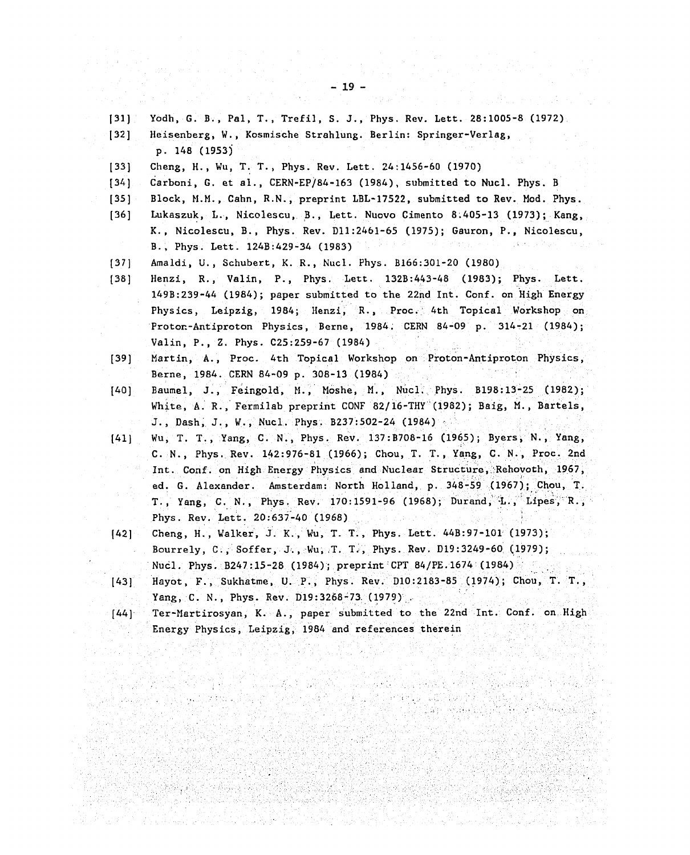- (31) Yodh, G. B., Pal, T., Trefil, S. J., Phys. Rev. Lett. 28:1005-8 (1972) (31) Yodh, G. B., Pal, T., Trefil, S. J., Phys. Rev. Lett. 28:1005 8 (1972)
- [32] Heisenberg, W., Kosmische Strahlung. Berlin: Springer-Verlag, [32] Heisenberg, W., Kosmische Strahlung. Berlin: Springer-Verlag, p. 148 (1953) p. 148 (1953)
- (33] Cheng, H., Wu, T. T., Phys. Rev. Lett. 24:1456-60 (1970) [33] Cheng, H., Wu, T. T., Phys. Rev. Lett. 24:1456 60 (1970)
- [34] Carboni, G. et al., CERN-EP/84-163 (1984), submitted to Nucl. Phys. B [34] Carboni, G. et al., CERN-EP/84 163 (1984), submitted to Nucl. Phys. B
- [35] Block, M.M., Cahn, R.N., preprint LBL-17522, submitted to Rev. Mod. Phys.
- [36] Lukaszuk, L., Nicolescu, B., Lett. Nuovo Cimento 8.405-13 (1973); Kang, [36] Lukaszuk, L., Nicolescu,. B., Lett. Nuovo Cimento 8;405 13 (1973); Kang, K. , Nicolescu, B., Phys. Rev. Dll:2461-65 (1975); Gauron, P., Nicolescu, K., Nicolescu, B., Phys. Rev. Dl1:261 65 (1975); Gauron, P., Nicolescu, B., Phys. Lett. 124B:429-34 (1983) B., Phys. Lett. 124B:429 34 (1983)
- [37] Amaldi, U., Schubert, K. R., Nucl. Phys. B166:301-20 (1980)
- [38] Henzi, R., Valin, P., Phys. Lett. 132B:443-48 (1983); Phys. Lett. [38] Henzi, R., Valin, P., Phys. Lett. 132B:4348 (1983); Phys. Lett. 149B:239-44 (1984); paper submitted to the 22nd Int. Conf. on High Energy 149B:239 44 (1984); paper submitted to the 22nd Int. Conf. on High Energy Physics, Leipzig, 1984; Henzi, R., Proc. 4th Topical Workshop on Physics, Leipzig, 1984; Henzi, R., Proc..' 4th Topical Workshop on Proton-Antiproton Physics, Berne, 1984. CERN 84-09 p. 314-21 (1984); Valin, P., Z. Phys. C25:259-67 (1984) Valin, P., Z. Phys. C25:25967 (1984)
- [39] Martin, A., Proc. 4th Topical Workshop on Proton-Antiproton Physics, [39] Martin, A., Proc. 4th Topical Workshop on Proton-Antiproton Physics, Berne, 1984. CERN 84-09 p. 308-13 (1984) And Soldier and Sea
- [40] Baumel, J., Feingold, M., Moshe, M., Nucl. Phys. B198:13-25 (1982); [40] Baumel, J., Feingold, H., Moshe, M., Nucl.干 Phys. B198:13 25 (1982); White, A. R., Fermilab preprint CONF 82/16-THY (1982); Baig, M., Bartels, J., Dash, J., W., Nucl. Phys. B237:502-24 (1984)
- [41] Wu, T. T., Yang, C. N., Phys. Rev. 137:B708-16 (1965); Byers, N., Yang, C. N., Phys. Rev. 142:976-81 (1966); Chou, T. T. , Yang, C. N., Proc. 2nd C. N., Phys. Rev. 142:976 81 (1966); Chou, T. T., Yang, C. N., Proc. 2nd Int. Conf. on High Energy Physics and Nuclear Structure, Rehovoth, 1967, ed. G. Alexander. Amsterdam: North Holland, p. 348-59 (1967); Chou, T. T., Yang, C. N., Phys. Rev. 170:1591-96 (1968); Durand, L., Lipes, R., Phys. Rev. Lett. 20:637-40 (1968)
- [42] Cheng, H., Walker, J. K., Wu, T. T., Phys. Lett. 44B:97-101 (1973); [42J Cheng, H., Walker, J. K., Wu, T. T., Phys. Lett. 44B: 97 101' (1973); Bourrely, C;; Soffer, J., Wu, T. T., Phys. Rev. D19:3249-60 (1979); Nucl. Phys. B247:15-28 (1984); preprint CPT 84/PE.1674 (1984)

경우 방송 시간 화지

n album a la

Malaysian

- [43] Hayot, F., Sukhatme, U. P., Phys. Rev. D10:2183-85 (1974); Chou, T. T., Yang, C. N., Phys. Rev. D19:3268-73 (1979).
- $[44]$  Ter-Martirosyan, K. A., paper submitted to the 22nd Int. Conf. on High Energy Physics, Leipzig, 1984 and references therein

 $E_{\rm{max}}$ 

" Ago (전화) 1705

in an gCogo

37) Gallery State State

Angkaratan

1000 - 21 XX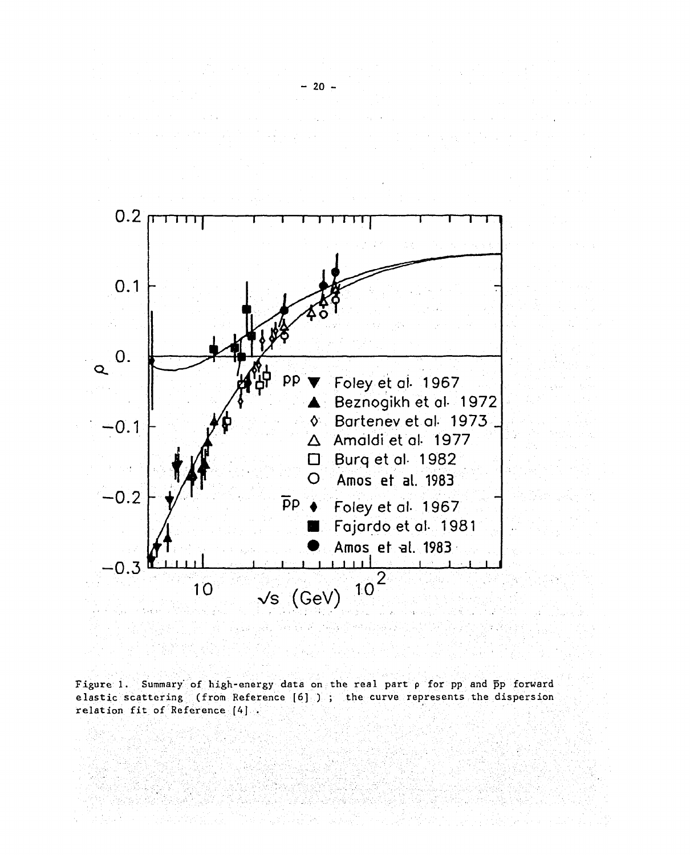

Figure 1. Summary of high-energy data on the real part p for pp and pp forward elastic scattering (from Reference [6] ); the curve represents the dispersion relation fit of Reference [4].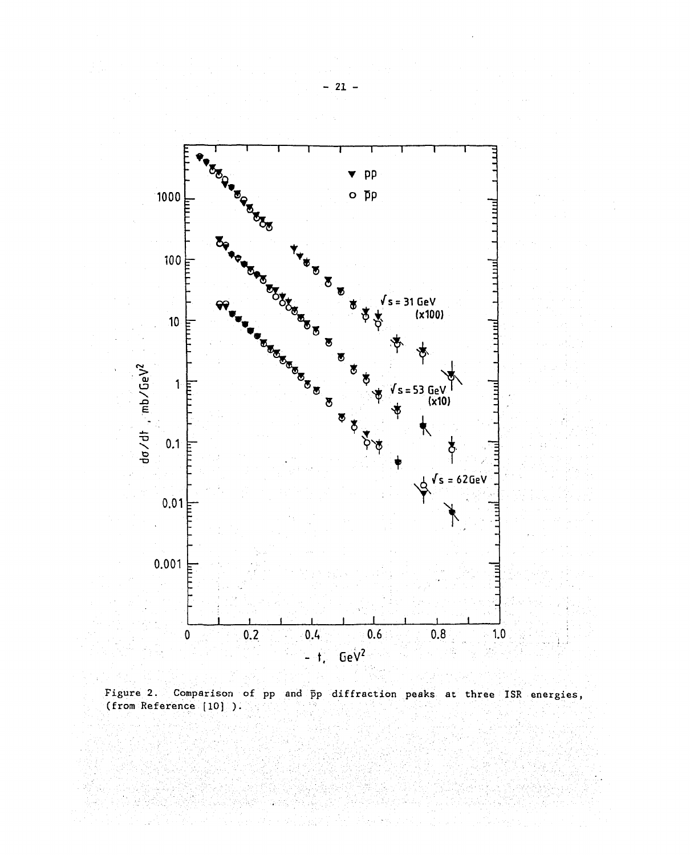

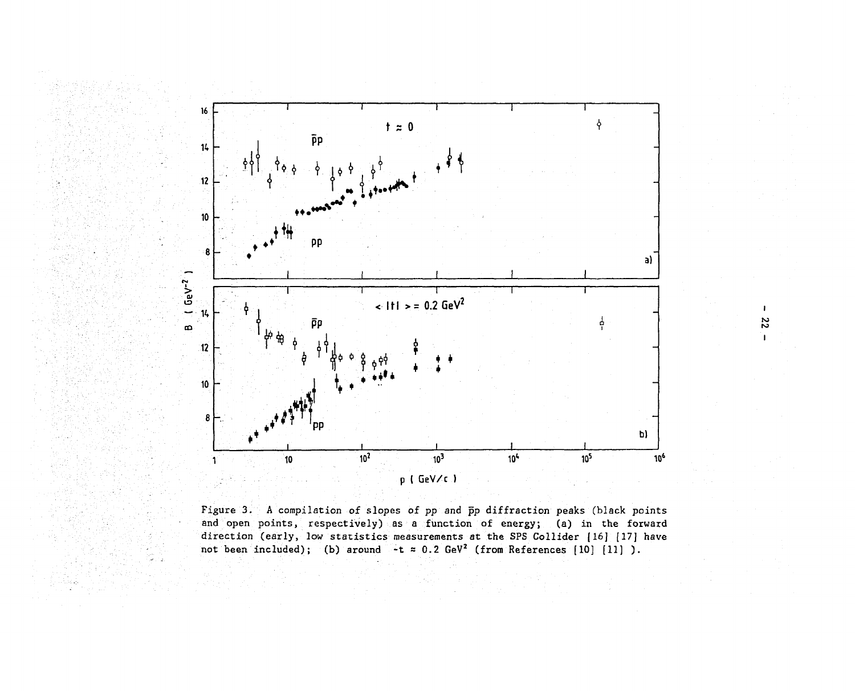

 $\mathbf{I}$ **22** 

 $\mathbf{I}$ 

Figure 3. A compilation of slopes of pp and pp diffraction peaks (black points and open points, respectively) as a function of energy; (a) in the forward direction (early, low statistics measurements at the SPS Collider [16] [17] have not been included); (b) around  $-t \approx 0.2$  GeV<sup>2</sup> (from References [10] [11] ).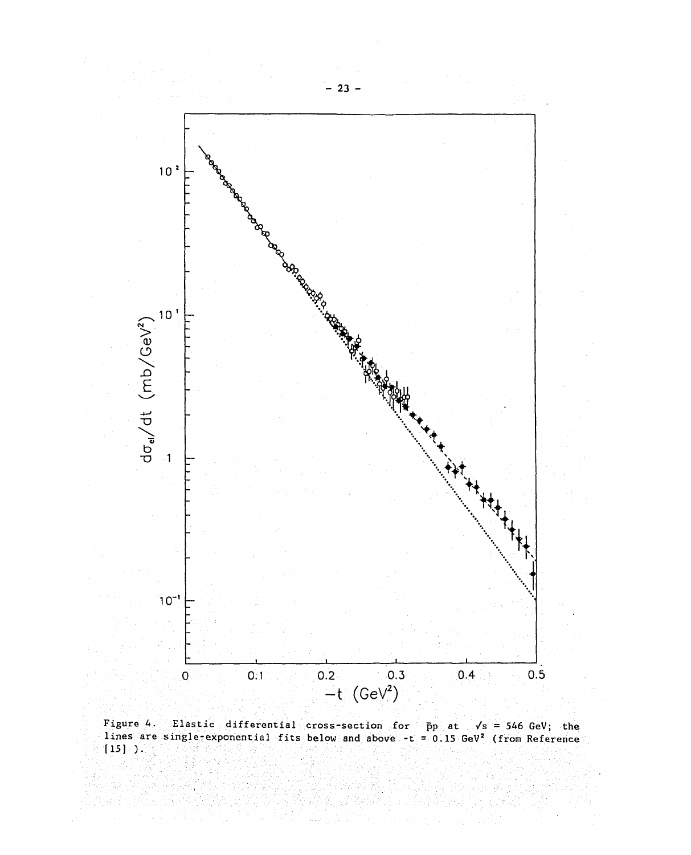

Figure 4. Elastic differential cross-section for pp at /s = 546 GeV; the lines are single-exponential fits below and above -t = 0.15 GeV<sup>2</sup> (from Reference  $[15]$  ).  $\bar{p}p$  at  $\sqrt{s}$  = 546 GeV; the Elastic differential cross-section for  $\bar{p}p$  at  $\sqrt{s} = 546$  GeV; the ingle-exponential fits below and above -t = 0.15 GeV<sup>2</sup> (from Reference single-exponential fits below and above -t Figure 4. lines are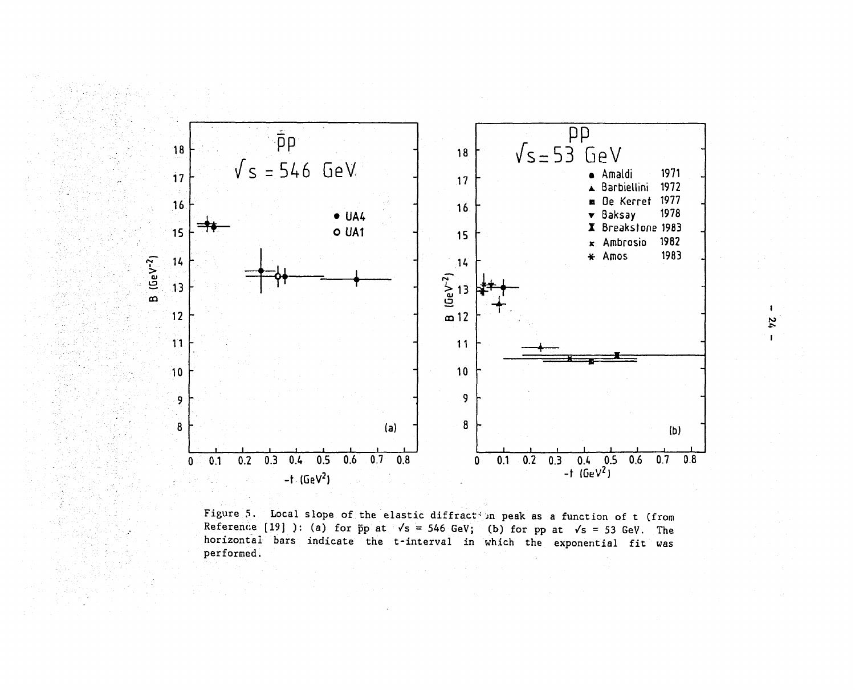

Figure 5. Local slope of the elastic diffract in peak as a function of t (from Reference [19] ): (a) for  $\bar{p}p$  at  $\sqrt{s}$  = 546 GeV; (b) for pp at  $\sqrt{s}$  = 53 GeV. The horizontal bars indicate the t-interval in which the exponential fit was performed.

 $\mathbf{I}$ 24  $\mathbf{r}$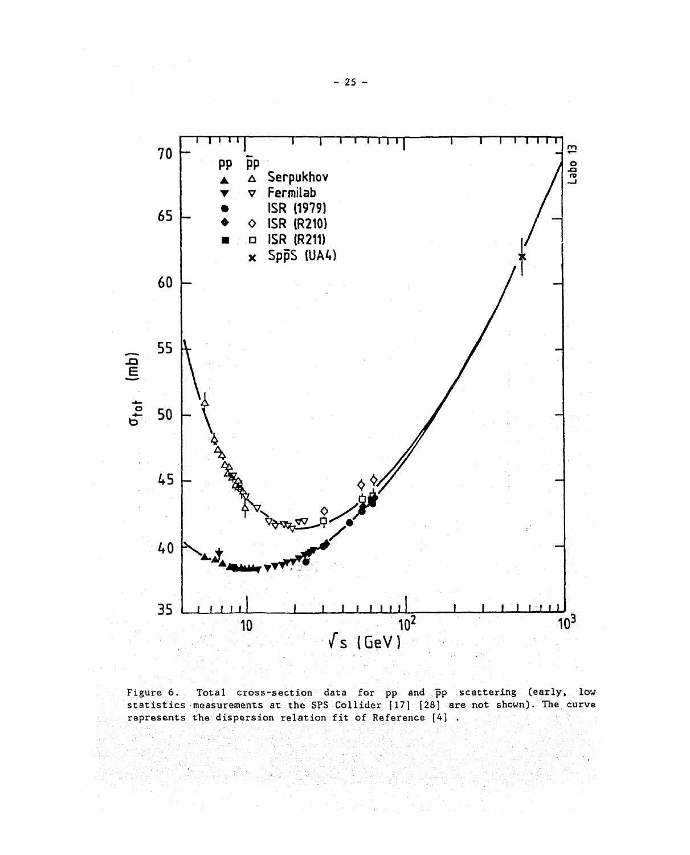

Figure 6. Total cross-section data for pp and pp scattering (early, low statistics measurements at the SPS Collider (17] (28] are not shown). The curve represents the dispersion relation fit of Reference [4]. Figure 6. Total cross-section data for pp and pp scattering (early, low scatistics measurements at the SPS Collider (17] (28] are not shown). The curve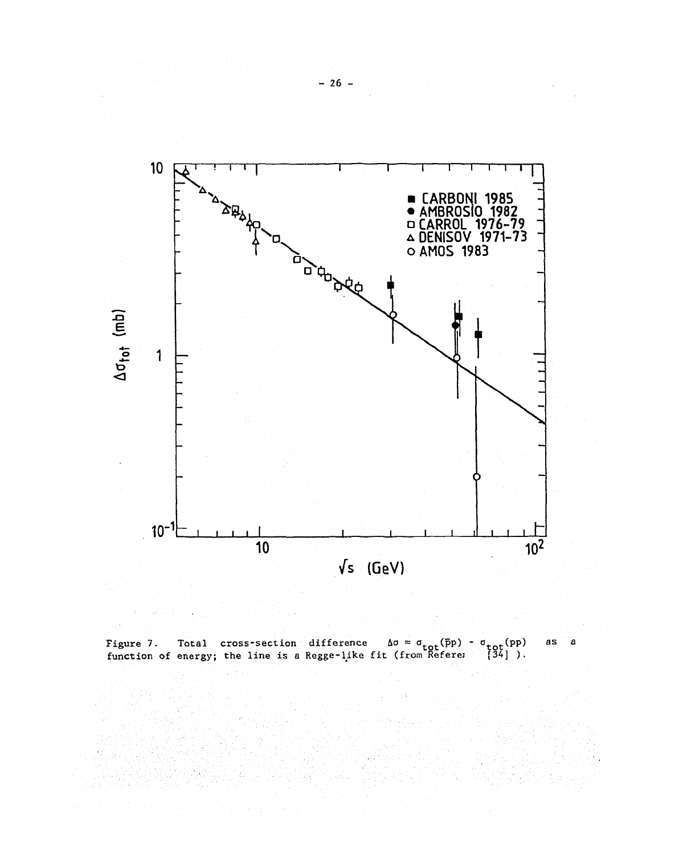